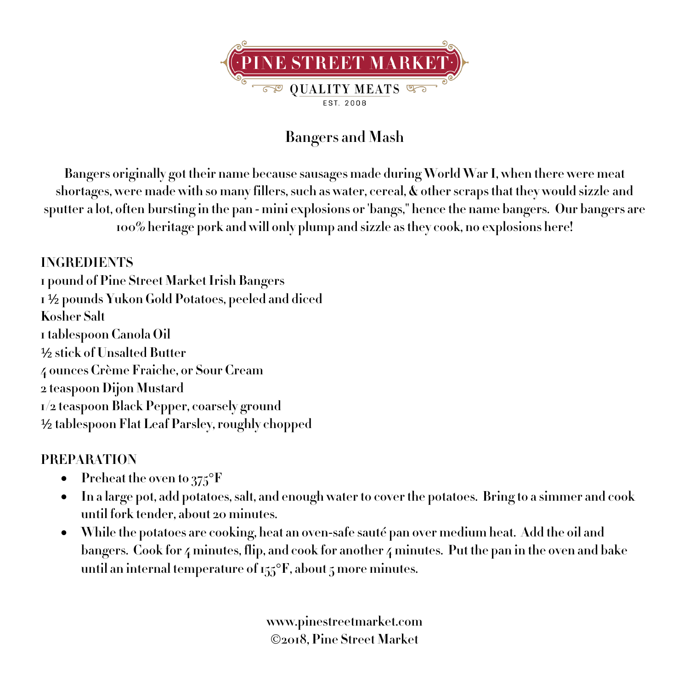

## **Bangers and Mash**

**Bangers originally got their name because sausages made during World War I, when there were meat shortages, were made with so many fillers, such as water, cereal, & other scraps that they would sizzle and sputter a lot, often bursting in the pan - mini explosions or 'bangs," hence the name bangers. Our bangers are 100% heritage pork and will only plump and sizzle as they cook, no explosions here!**

## **INGREDIENTS**

**1 pound of Pine Street Market Irish Bangers 1** ½ **pounds Yukon Gold Potatoes, peeled and diced Kosher Salt 1tablespoon Canola Oil** ½ **stick of Unsalted Butter 4 ounces Crème Fraiche, or Sour Cream 2 teaspoon Dijon Mustard 1/2 teaspoon Black Pepper, coarsely ground** ½ **tablespoon Flat Leaf Parsley, roughly chopped**

## **PREPARATION**

- **Preheat the oven to 375**°**F**
- In a large pot, add potatoes, salt, and enough water to cover the potatoes. Bring to a simmer and cook **until fork tender, about 20 minutes.**
- **While the potatoes are cooking, heat an oven-safe sauté pan over medium heat. Add the oil and bangers. Cook for 4 minutes, flip, and cook for another 4 minutes. Put the pan in the oven and bake until an internal temperature of155**°**F, about 5 more minutes.**

**www.pinestreetmarket.com** Ó**2018, Pine Street Market**